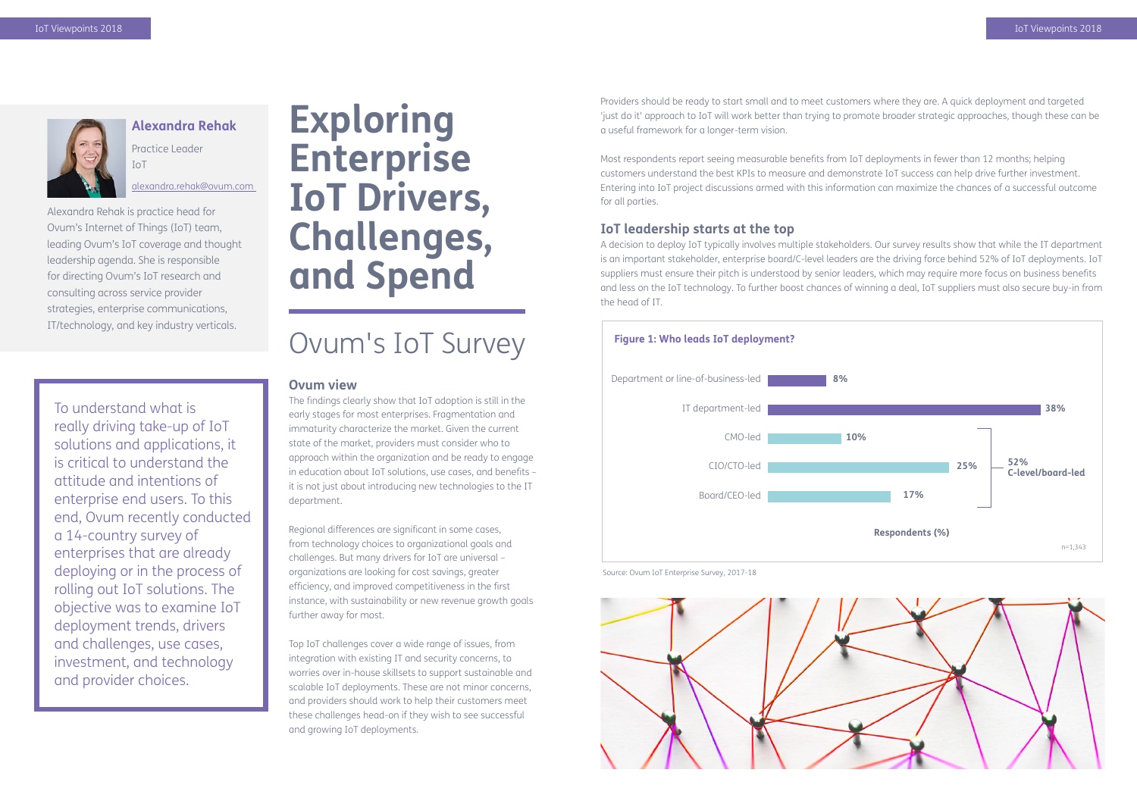# **Exploring Enterprise IoT Drivers, Challenges, and Spend**

## Ovum's IoT Survey

#### **Ovum view**

The findings clearly show that IoT adoption is still in the early stages for most enterprises. Fragmentation and immaturity characterize the market. Given the current state of the market, providers must consider who to approach within the organization and be ready to engage in education about IoT solutions, use cases, and benefits – it is not just about introducing new technologies to the IT department.

Regional differences are significant in some cases, from technology choices to organizational goals and challenges. But many drivers for IoT are universal – organizations are looking for cost savings, greater efficiency, and improved competitiveness in the first instance, with sustainability or new revenue growth goals further away for most.

Top IoT challenges cover a wide range of issues, from integration with existing IT and security concerns, to worries over in-house skillsets to support sustainable and scalable IoT deployments. These are not minor concerns, and providers should work to help their customers meet these challenges head-on if they wish to see successful and growing IoT deployments.

Providers should be ready to start small and to meet customers where they are. A quick deployment and targeted 'just do it' approach to IoT will work better than trying to promote broader strategic approaches, though these can be a useful framework for a longer-term vision.

Most respondents report seeing measurable benefits from IoT deployments in fewer than 12 months; helping customers understand the best KPIs to measure and demonstrate IoT success can help drive further investment. Entering into IoT project discussions armed with this information can maximize the chances of a successful outcome for all parties.

#### **IoT leadership starts at the top**

A decision to deploy IoT typically involves multiple stakeholders. Our survey results show that while the IT department is an important stakeholder, enterprise board/C-level leaders are the driving force behind 52% of IoT deployments. IoT suppliers must ensure their pitch is understood by senior leaders, which may require more focus on business benefits and less on the IoT technology. To further boost chances of winning a deal, IoT suppliers must also secure buy-in from the head of IT.



**Alexandra Rehak** Practice Leader

IoT

[alexandra.rehak@ovum.com](mailto:alexandra.rehak%40ovum.com%20?subject=) 

Alexandra Rehak is practice head for Ovum's Internet of Things (IoT) team, leading Ovum's IoT coverage and thought leadership agenda. She is responsible for directing Ovum's IoT research and consulting across service provider strategies, enterprise communications, IT/technology, and key industry verticals.







To understand what is really driving take-up of IoT solutions and applications, it is critical to understand the attitude and intentions of enterprise end users. To this end, Ovum recently conducted a 14-country survey of enterprises that are already deploying or in the process of rolling out IoT solutions. The objective was to examine IoT deployment trends, drivers and challenges, use cases, investment, and technology and provider choices.